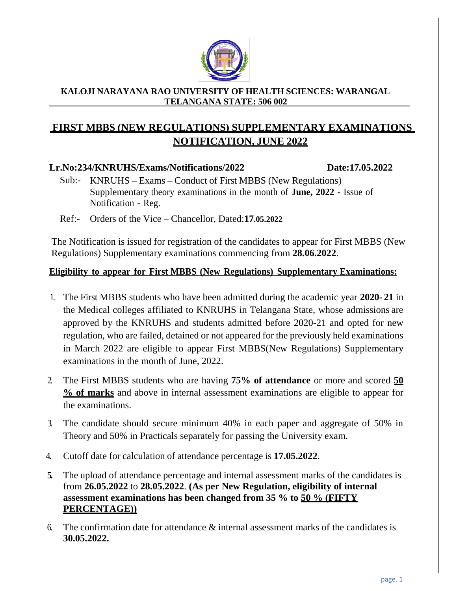

#### **KALOJI NARAYANA RAO UNIVERSITY OF HEALTH SCIENCES: WARANGAL TELANGANA STATE: 506 002**

## **FIRST MBBS (NEW REGULATIONS) SUPPLEMENTARY EXAMINATIONS NOTIFICATION, JUNE 2022**

#### **Lr.No:234/KNRUHS/Exams/Notifications/2022 Date:17.05.2022**

- Sub:- KNRUHS Exams Conduct of First MBBS (New Regulations) Supplementary theory examinations in the month of **June, 2022** - Issue of Notification - Reg.
- Ref:- Orders of the Vice Chancellor, Dated:**17.05.2022**

The Notification is issued for registration of the candidates to appear for First MBBS (New Regulations) Supplementary examinations commencing from **28.06.2022**.

### **Eligibility to appear for First MBBS (New Regulations) Supplementary Examinations:**

- 1. The First MBBS students who have been admitted during the academic year **2020- 21** in the Medical colleges affiliated to KNRUHS in Telangana State, whose admissions are approved by the KNRUHS and students admitted before 2020-21 and opted for new regulation, who are failed, detained or not appeared for the previously held examinations in March 2022 are eligible to appear First MBBS(New Regulations) Supplementary examinations in the month of June, 2022.
- 2. The First MBBS students who are having **75% of attendance** or more and scored **50 % of marks** and above in internal assessment examinations are eligible to appear for the examinations.
- 3. The candidate should secure minimum 40% in each paper and aggregate of 50% in Theory and 50% in Practicals separately for passing the University exam.
- 4. Cutoff date for calculation of attendance percentage is **17.05.2022**.
- **5.** The upload of attendance percentage and internal assessment marks of the candidates is from **26.05.2022** to **28.05.2022**. **(As per New Regulation, eligibility of internal assessment examinations has been changed from 35 % to 50 % (FIFTY PERCENTAGE))**
- 6. The confirmation date for attendance  $\&$  internal assessment marks of the candidates is **30.05.2022.**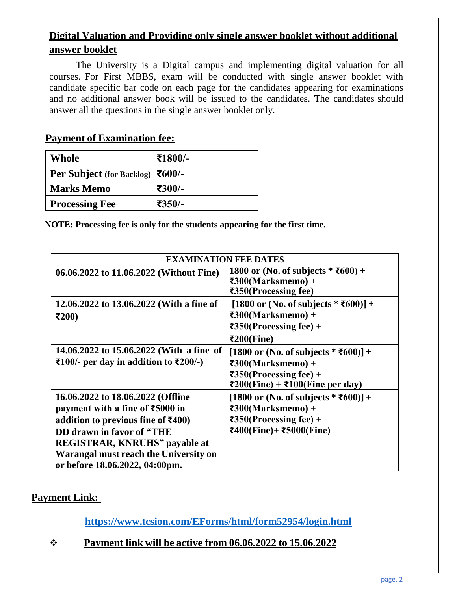## **Digital Valuation and Providing only single answer booklet without additional answer booklet**

The University is a Digital campus and implementing digital valuation for all courses. For First MBBS, exam will be conducted with single answer booklet with candidate specific bar code on each page for the candidates appearing for examinations and no additional answer book will be issued to the candidates. The candidates should answer all the questions in the single answer booklet only.

### **Payment of Examination fee:**

| <b>Whole</b>                     | ₹1800/- |
|----------------------------------|---------|
| Per Subject (for Backlog) ₹600/- |         |
| <b>Marks Memo</b>                | ₹300/-  |
| <b>Processing Fee</b>            | ₹350/-  |

**NOTE: Processing fee is only for the students appearing for the first time.**

| <b>EXAMINATION FEE DATES</b>                                                                                                                                                                                                                                                     |                                                                                                                                                                                           |  |  |
|----------------------------------------------------------------------------------------------------------------------------------------------------------------------------------------------------------------------------------------------------------------------------------|-------------------------------------------------------------------------------------------------------------------------------------------------------------------------------------------|--|--|
| 06.06.2022 to 11.06.2022 (Without Fine)                                                                                                                                                                                                                                          | 1800 or (No. of subjects * ₹600) +<br>$\textbf{F300}$ (Marksmemo) +<br>₹350(Processing fee)                                                                                               |  |  |
| 12.06.2022 to 13.06.2022 (With a fine of<br>$\mathbf{\bar{z}}200$                                                                                                                                                                                                                | $[1800 \text{ or } (No. \text{ of subjects } * \text{\textless} 600)] +$<br>$\epsilon$ 300(Marksmemo) +<br>$\textcolor{red}{\textbf{7350}}$ (Processing fee) +<br>₹200(Fine)              |  |  |
| 14.06.2022 to 15.06.2022 (With a fine of<br>₹100/- per day in addition to $\overline{\text{E}}200$ /-)                                                                                                                                                                           | [1800 or (No. of subjects $* \overline{5600}] +$<br>$\textbf{F300}$ (Marksmemo) +<br>$\textcolor{red}{\textbf{7350}}$ (Processing fee) +<br>₹200(Fine) + ₹100(Fine per day)               |  |  |
| 16.06.2022 to 18.06.2022 (Offline<br>payment with a fine of ₹5000 in<br>addition to previous fine of $\text{\textsterling}400$ )<br>DD drawn in favor of "THE<br><b>REGISTRAR, KNRUHS"</b> payable at<br>Warangal must reach the University on<br>or before 18.06.2022, 04:00pm. | [1800 or (No. of subjects $* \; 2600$ )] +<br>$\textbf{F300}$ (Marksmemo) +<br>$\overline{350}$ (Processing fee) +<br>$\text{\textsterling}400$ (Fine)+ $\text{\textsterling}5000$ (Fine) |  |  |

## **Payment Link:**

**<https://www.tcsion.com/EForms/html/form52954/login.html>**

### ❖ **Payment link will be active from 06.06.2022 to 15.06.2022**